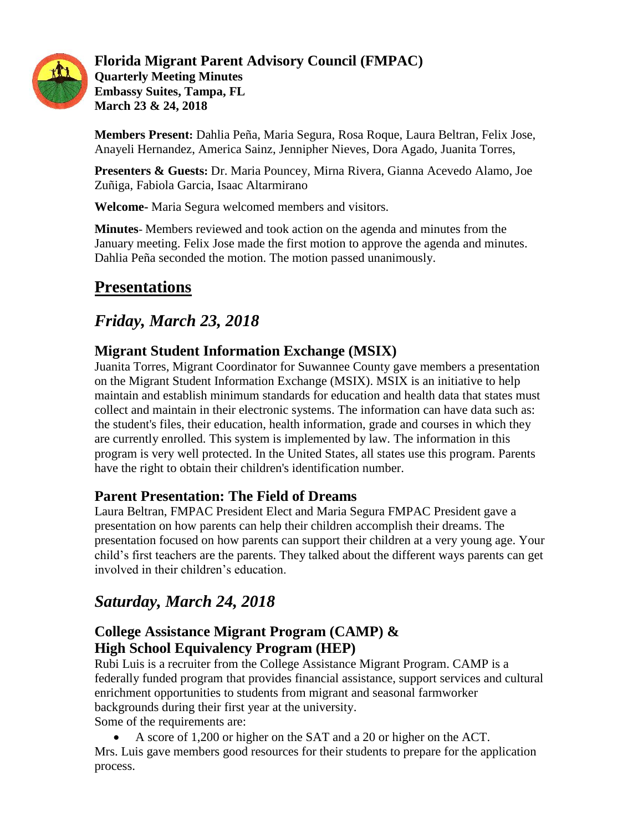

#### **Florida Migrant Parent Advisory Council (FMPAC) Quarterly Meeting Minutes Embassy Suites, Tampa, FL March 23 & 24, 2018**

**Members Present:** Dahlia Peña, Maria Segura, Rosa Roque, Laura Beltran, Felix Jose, Anayeli Hernandez, America Sainz, Jennipher Nieves, Dora Agado, Juanita Torres,

**Presenters & Guests:** Dr. Maria Pouncey, Mirna Rivera, Gianna Acevedo Alamo, Joe Zuñiga, Fabiola Garcia, Isaac Altarmirano

**Welcome-** Maria Segura welcomed members and visitors.

**Minutes**- Members reviewed and took action on the agenda and minutes from the January meeting. Felix Jose made the first motion to approve the agenda and minutes. Dahlia Peña seconded the motion. The motion passed unanimously.

## **Presentations**

## *Friday, March 23, 2018*

## **Migrant Student Information Exchange (MSIX)**

Juanita Torres, Migrant Coordinator for Suwannee County gave members a presentation on the Migrant Student Information Exchange (MSIX). MSIX is an initiative to help maintain and establish minimum standards for education and health data that states must collect and maintain in their electronic systems. The information can have data such as: the student's files, their education, health information, grade and courses in which they are currently enrolled. This system is implemented by law. The information in this program is very well protected. In the United States, all states use this program. Parents have the right to obtain their children's identification number.

### **Parent Presentation: The Field of Dreams**

Laura Beltran, FMPAC President Elect and Maria Segura FMPAC President gave a presentation on how parents can help their children accomplish their dreams. The presentation focused on how parents can support their children at a very young age. Your child's first teachers are the parents. They talked about the different ways parents can get involved in their children's education.

## *Saturday, March 24, 2018*

## **College Assistance Migrant Program (CAMP) & High School Equivalency Program (HEP)**

Rubi Luis is a recruiter from the College Assistance Migrant Program. CAMP is a federally funded program that provides financial assistance, support services and cultural enrichment opportunities to students from migrant and seasonal farmworker backgrounds during their first year at the university. Some of the requirements are:

A score of 1,200 or higher on the SAT and a 20 or higher on the ACT.

Mrs. Luis gave members good resources for their students to prepare for the application process.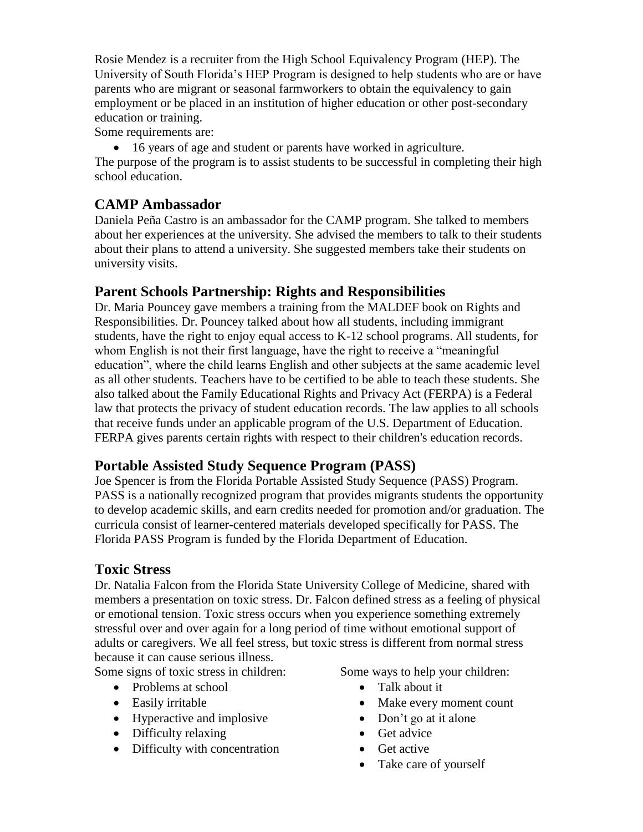Rosie Mendez is a recruiter from the High School Equivalency Program (HEP). The University of South Florida's HEP Program is designed to help students who are or have parents who are migrant or seasonal farmworkers to obtain the equivalency to gain employment or be placed in an institution of higher education or other post-secondary education or training.

Some requirements are:

16 years of age and student or parents have worked in agriculture.

The purpose of the program is to assist students to be successful in completing their high school education.

### **CAMP Ambassador**

Daniela Peña Castro is an ambassador for the CAMP program. She talked to members about her experiences at the university. She advised the members to talk to their students about their plans to attend a university. She suggested members take their students on university visits.

### **Parent Schools Partnership: Rights and Responsibilities**

Dr. Maria Pouncey gave members a training from the MALDEF book on Rights and Responsibilities. Dr. Pouncey talked about how all students, including immigrant students, have the right to enjoy equal access to K-12 school programs. All students, for whom English is not their first language, have the right to receive a "meaningful education", where the child learns English and other subjects at the same academic level as all other students. Teachers have to be certified to be able to teach these students. She also talked about the Family Educational Rights and Privacy Act (FERPA) is a Federal law that protects the privacy of student education records. The law applies to all schools that receive funds under an applicable program of the U.S. Department of Education. FERPA gives parents certain rights with respect to their children's education records.

### **Portable Assisted Study Sequence Program (PASS)**

Joe Spencer is from the Florida Portable Assisted Study Sequence (PASS) Program. PASS is a nationally recognized program that provides migrants students the opportunity to develop academic skills, and earn credits needed for promotion and/or graduation. The curricula consist of learner-centered materials developed specifically for PASS. The Florida PASS Program is funded by the Florida Department of Education.

### **Toxic Stress**

Dr. Natalia Falcon from the Florida State University College of Medicine, shared with members a presentation on toxic stress. Dr. Falcon defined stress as a feeling of physical or emotional tension. Toxic stress occurs when you experience something extremely stressful over and over again for a long period of time without emotional support of adults or caregivers. We all feel stress, but toxic stress is different from normal stress because it can cause serious illness.

Some signs of toxic stress in children:

- Problems at school
- Easily irritable
- Hyperactive and implosive
- Difficulty relaxing
- Difficulty with concentration

Some ways to help your children:

- Talk about it
- Make every moment count
- Don't go at it alone
- Get advice
- $\bullet$  Get active
- Take care of yourself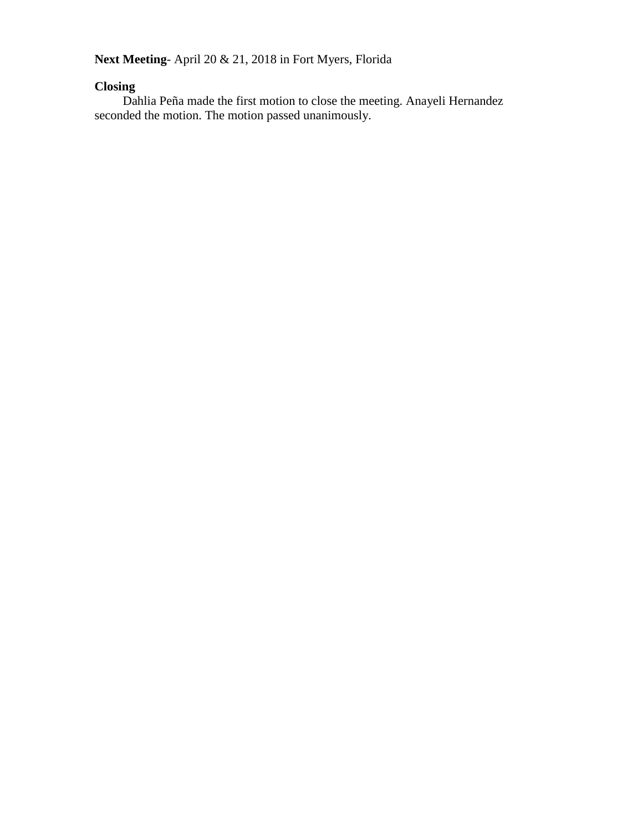**Next Meeting**- April 20 & 21, 2018 in Fort Myers, Florida

#### **Closing**

Dahlia Peña made the first motion to close the meeting. Anayeli Hernandez seconded the motion. The motion passed unanimously.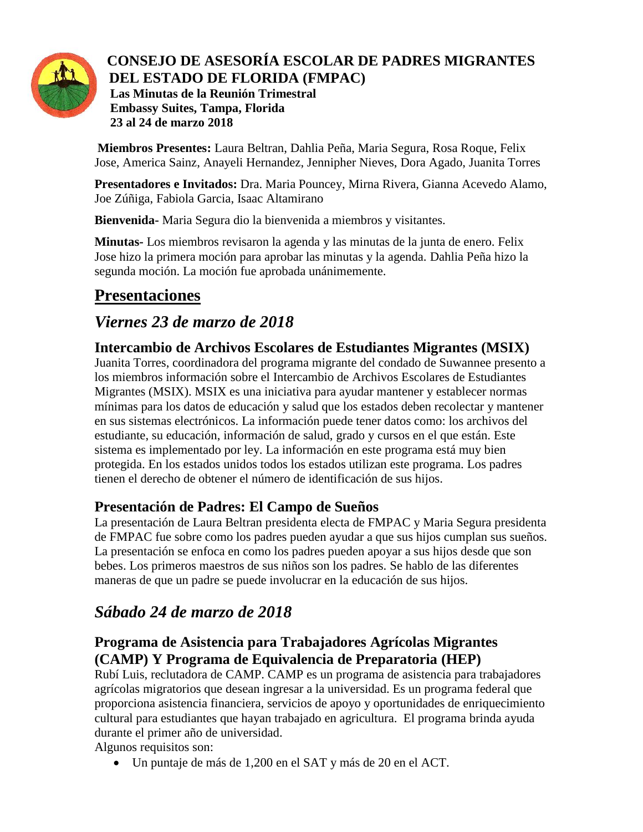

#### **CONSEJO DE ASESORÍA ESCOLAR DE PADRES MIGRANTES DEL ESTADO DE FLORIDA (FMPAC) Las Minutas de la Reunión Trimestral Embassy Suites, Tampa, Florida 23 al 24 de marzo 2018**

**Miembros Presentes:** Laura Beltran, Dahlia Peña, Maria Segura, Rosa Roque, Felix Jose, America Sainz, Anayeli Hernandez, Jennipher Nieves, Dora Agado, Juanita Torres

**Presentadores e Invitados:** Dra. Maria Pouncey, Mirna Rivera, Gianna Acevedo Alamo, Joe Zúñiga, Fabiola Garcia, Isaac Altamirano

**Bienvenida-** Maria Segura dio la bienvenida a miembros y visitantes.

**Minutas-** Los miembros revisaron la agenda y las minutas de la junta de enero. Felix Jose hizo la primera moción para aprobar las minutas y la agenda. Dahlia Peña hizo la segunda moción. La moción fue aprobada unánimemente.

# **Presentaciones**

## *Viernes 23 de marzo de 2018*

## **Intercambio de Archivos Escolares de Estudiantes Migrantes (MSIX)**

Juanita Torres, coordinadora del programa migrante del condado de Suwannee presento a los miembros información sobre el Intercambio de Archivos Escolares de Estudiantes Migrantes (MSIX). MSIX es una iniciativa para ayudar mantener y establecer normas mínimas para los datos de educación y salud que los estados deben recolectar y mantener en sus sistemas electrónicos. La información puede tener datos como: los archivos del estudiante, su educación, información de salud, grado y cursos en el que están. Este sistema es implementado por ley. La información en este programa está muy bien protegida. En los estados unidos todos los estados utilizan este programa. Los padres tienen el derecho de obtener el número de identificación de sus hijos.

## **Presentación de Padres: El Campo de Sueños**

La presentación de Laura Beltran presidenta electa de FMPAC y Maria Segura presidenta de FMPAC fue sobre como los padres pueden ayudar a que sus hijos cumplan sus sueños. La presentación se enfoca en como los padres pueden apoyar a sus hijos desde que son bebes. Los primeros maestros de sus niños son los padres. Se hablo de las diferentes maneras de que un padre se puede involucrar en la educación de sus hijos.

## *Sábado 24 de marzo de 2018*

## **Programa de Asistencia para Trabajadores Agrícolas Migrantes (CAMP) Y Programa de Equivalencia de Preparatoria (HEP)**

Rubí Luis, reclutadora de CAMP. CAMP es un programa de asistencia para trabajadores agrícolas migratorios que desean ingresar a la universidad. Es un programa federal que proporciona asistencia financiera, servicios de apoyo y oportunidades de enriquecimiento cultural para estudiantes que hayan trabajado en agricultura. El programa brinda ayuda durante el primer año de universidad.

Algunos requisitos son:

Un puntaje de más de 1,200 en el SAT y más de 20 en el ACT.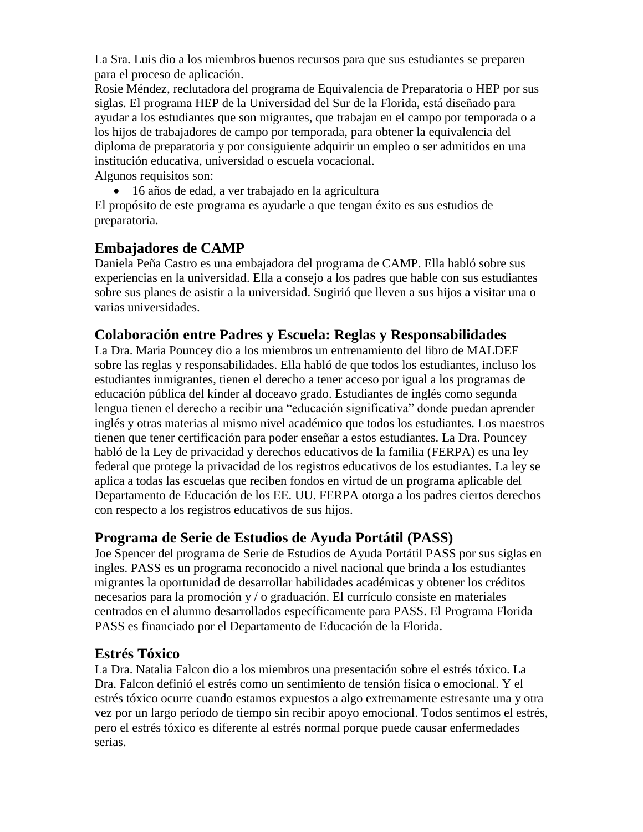La Sra. Luis dio a los miembros buenos recursos para que sus estudiantes se preparen para el proceso de aplicación.

Rosie Méndez, reclutadora del programa de Equivalencia de Preparatoria o HEP por sus siglas. El programa HEP de la Universidad del Sur de la Florida, está diseñado para ayudar a los estudiantes que son migrantes, que trabajan en el campo por temporada o a los hijos de trabajadores de campo por temporada, para obtener la equivalencia del diploma de preparatoria y por consiguiente adquirir un empleo o ser admitidos en una institución educativa, universidad o escuela vocacional.

Algunos requisitos son:

16 años de edad, a ver trabajado en la agricultura

El propósito de este programa es ayudarle a que tengan éxito es sus estudios de preparatoria.

### **Embajadores de CAMP**

Daniela Peña Castro es una embajadora del programa de CAMP. Ella habló sobre sus experiencias en la universidad. Ella a consejo a los padres que hable con sus estudiantes sobre sus planes de asistir a la universidad. Sugirió que lleven a sus hijos a visitar una o varias universidades.

### **Colaboración entre Padres y Escuela: Reglas y Responsabilidades**

La Dra. Maria Pouncey dio a los miembros un entrenamiento del libro de MALDEF sobre las reglas y responsabilidades. Ella habló de que todos los estudiantes, incluso los estudiantes inmigrantes, tienen el derecho a tener acceso por igual a los programas de educación pública del kínder al doceavo grado. Estudiantes de inglés como segunda lengua tienen el derecho a recibir una "educación significativa" donde puedan aprender inglés y otras materias al mismo nivel académico que todos los estudiantes. Los maestros tienen que tener certificación para poder enseñar a estos estudiantes. La Dra. Pouncey habló de la Ley de privacidad y derechos educativos de la familia (FERPA) es una ley federal que protege la privacidad de los registros educativos de los estudiantes. La ley se aplica a todas las escuelas que reciben fondos en virtud de un programa aplicable del Departamento de Educación de los EE. UU. FERPA otorga a los padres ciertos derechos con respecto a los registros educativos de sus hijos.

### **Programa de Serie de Estudios de Ayuda Portátil (PASS)**

Joe Spencer del programa de Serie de Estudios de Ayuda Portátil PASS por sus siglas en ingles. PASS es un programa reconocido a nivel nacional que brinda a los estudiantes migrantes la oportunidad de desarrollar habilidades académicas y obtener los créditos necesarios para la promoción y / o graduación. El currículo consiste en materiales centrados en el alumno desarrollados específicamente para PASS. El Programa Florida PASS es financiado por el Departamento de Educación de la Florida.

### **Estrés Tóxico**

La Dra. Natalia Falcon dio a los miembros una presentación sobre el estrés tóxico. La Dra. Falcon definió el estrés como un sentimiento de tensión física o emocional. Y el estrés tóxico ocurre cuando estamos expuestos a algo extremamente estresante una y otra vez por un largo período de tiempo sin recibir apoyo emocional. Todos sentimos el estrés, pero el estrés tóxico es diferente al estrés normal porque puede causar enfermedades serias.